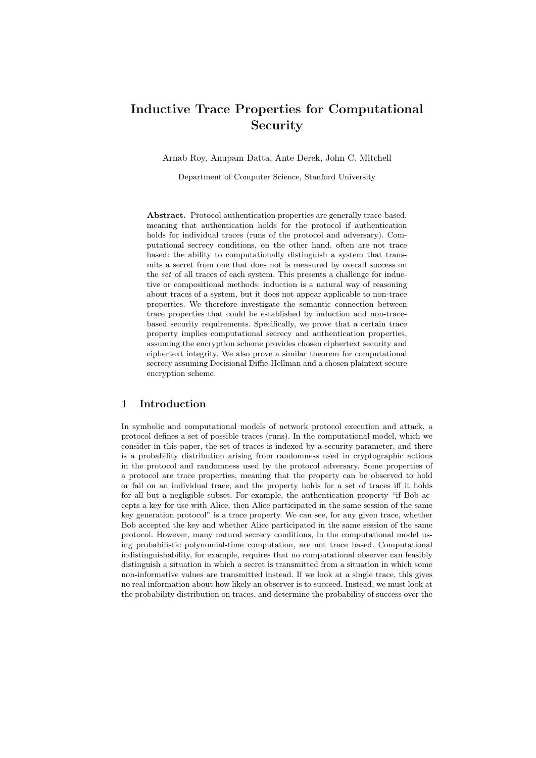# Inductive Trace Properties for Computational Security

Arnab Roy, Anupam Datta, Ante Derek, John C. Mitchell

Department of Computer Science, Stanford University

Abstract. Protocol authentication properties are generally trace-based, meaning that authentication holds for the protocol if authentication holds for individual traces (runs of the protocol and adversary). Computational secrecy conditions, on the other hand, often are not trace based: the ability to computationally distinguish a system that transmits a secret from one that does not is measured by overall success on the set of all traces of each system. This presents a challenge for inductive or compositional methods: induction is a natural way of reasoning about traces of a system, but it does not appear applicable to non-trace properties. We therefore investigate the semantic connection between trace properties that could be established by induction and non-tracebased security requirements. Specifically, we prove that a certain trace property implies computational secrecy and authentication properties, assuming the encryption scheme provides chosen ciphertext security and ciphertext integrity. We also prove a similar theorem for computational secrecy assuming Decisional Diffie-Hellman and a chosen plaintext secure encryption scheme.

## 1 Introduction

In symbolic and computational models of network protocol execution and attack, a protocol defines a set of possible traces (runs). In the computational model, which we consider in this paper, the set of traces is indexed by a security parameter, and there is a probability distribution arising from randomness used in cryptographic actions in the protocol and randomness used by the protocol adversary. Some properties of a protocol are trace properties, meaning that the property can be observed to hold or fail on an individual trace, and the property holds for a set of traces iff it holds for all but a negligible subset. For example, the authentication property "if Bob accepts a key for use with Alice, then Alice participated in the same session of the same key generation protocol" is a trace property. We can see, for any given trace, whether Bob accepted the key and whether Alice participated in the same session of the same protocol. However, many natural secrecy conditions, in the computational model using probabilistic polynomial-time computation, are not trace based. Computational indistinguishability, for example, requires that no computational observer can feasibly distinguish a situation in which a secret is transmitted from a situation in which some non-informative values are transmitted instead. If we look at a single trace, this gives no real information about how likely an observer is to succeed. Instead, we must look at the probability distribution on traces, and determine the probability of success over the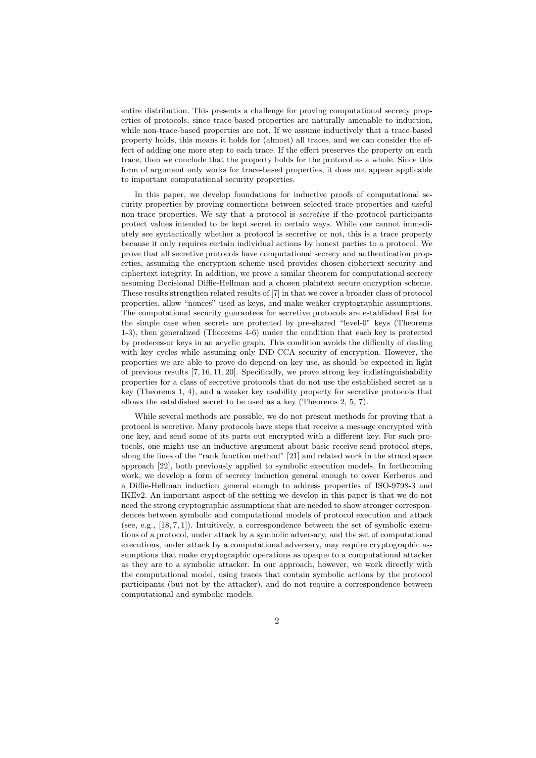entire distribution. This presents a challenge for proving computational secrecy properties of protocols, since trace-based properties are naturally amenable to induction, while non-trace-based properties are not. If we assume inductively that a trace-based property holds, this means it holds for (almost) all traces, and we can consider the effect of adding one more step to each trace. If the effect preserves the property on each trace, then we conclude that the property holds for the protocol as a whole. Since this form of argument only works for trace-based properties, it does not appear applicable to important computational security properties.

In this paper, we develop foundations for inductive proofs of computational security properties by proving connections between selected trace properties and useful non-trace properties. We say that a protocol is secretive if the protocol participants protect values intended to be kept secret in certain ways. While one cannot immediately see syntactically whether a protocol is secretive or not, this is a trace property because it only requires certain individual actions by honest parties to a protocol. We prove that all secretive protocols have computational secrecy and authentication properties, assuming the encryption scheme used provides chosen ciphertext security and ciphertext integrity. In addition, we prove a similar theorem for computational secrecy assuming Decisional Diffie-Hellman and a chosen plaintext secure encryption scheme. These results strengthen related results of [7] in that we cover a broader class of protocol properties, allow "nonces" used as keys, and make weaker cryptographic assumptions. The computational security guarantees for secretive protocols are established first for the simple case when secrets are protected by pre-shared "level-0" keys (Theorems 1-3), then generalized (Theorems 4-6) under the condition that each key is protected by predecessor keys in an acyclic graph. This condition avoids the difficulty of dealing with key cycles while assuming only IND-CCA security of encryption. However, the properties we are able to prove do depend on key use, as should be expected in light of previous results [7, 16, 11, 20]. Specifically, we prove strong key indistinguishability properties for a class of secretive protocols that do not use the established secret as a key (Theorems 1, 4), and a weaker key usability property for secretive protocols that allows the established secret to be used as a key (Theorems 2, 5, 7).

While several methods are possible, we do not present methods for proving that a protocol is secretive. Many protocols have steps that receive a message encrypted with one key, and send some of its parts out encrypted with a different key. For such protocols, one might use an inductive argument about basic receive-send protocol steps, along the lines of the "rank function method" [21] and related work in the strand space approach [22], both previously applied to symbolic execution models. In forthcoming work, we develop a form of secrecy induction general enough to cover Kerberos and a Diffie-Hellman induction general enough to address properties of ISO-9798-3 and IKEv2. An important aspect of the setting we develop in this paper is that we do not need the strong cryptographic assumptions that are needed to show stronger correspondences between symbolic and computational models of protocol execution and attack (see, e.g.,  $[18, 7, 1]$ ). Intuitively, a correspondence between the set of symbolic executions of a protocol, under attack by a symbolic adversary, and the set of computational executions, under attack by a computational adversary, may require cryptographic assumptions that make cryptographic operations as opaque to a computational attacker as they are to a symbolic attacker. In our approach, however, we work directly with the computational model, using traces that contain symbolic actions by the protocol participants (but not by the attacker), and do not require a correspondence between computational and symbolic models.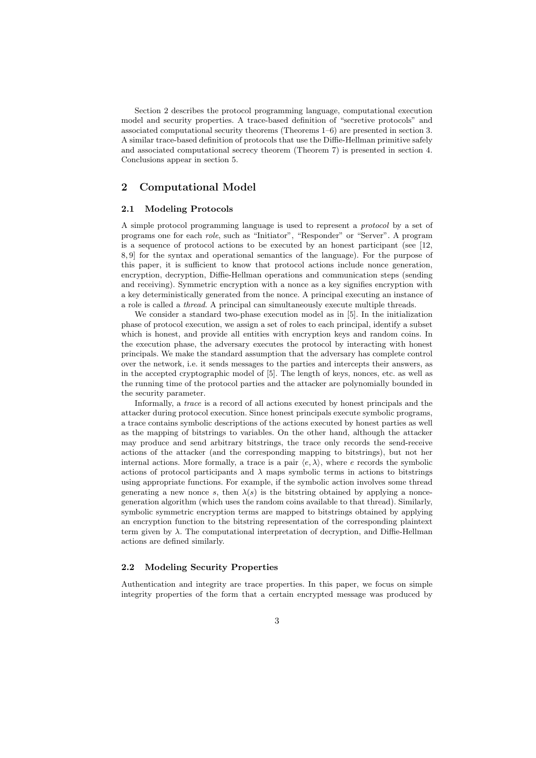Section 2 describes the protocol programming language, computational execution model and security properties. A trace-based definition of "secretive protocols" and associated computational security theorems (Theorems 1–6) are presented in section 3. A similar trace-based definition of protocols that use the Diffie-Hellman primitive safely and associated computational secrecy theorem (Theorem 7) is presented in section 4. Conclusions appear in section 5.

# 2 Computational Model

#### 2.1 Modeling Protocols

A simple protocol programming language is used to represent a protocol by a set of programs one for each role, such as "Initiator", "Responder" or "Server". A program is a sequence of protocol actions to be executed by an honest participant (see [12, 8, 9] for the syntax and operational semantics of the language). For the purpose of this paper, it is sufficient to know that protocol actions include nonce generation, encryption, decryption, Diffie-Hellman operations and communication steps (sending and receiving). Symmetric encryption with a nonce as a key signifies encryption with a key deterministically generated from the nonce. A principal executing an instance of a role is called a thread. A principal can simultaneously execute multiple threads.

We consider a standard two-phase execution model as in [5]. In the initialization phase of protocol execution, we assign a set of roles to each principal, identify a subset which is honest, and provide all entities with encryption keys and random coins. In the execution phase, the adversary executes the protocol by interacting with honest principals. We make the standard assumption that the adversary has complete control over the network, i.e. it sends messages to the parties and intercepts their answers, as in the accepted cryptographic model of [5]. The length of keys, nonces, etc. as well as the running time of the protocol parties and the attacker are polynomially bounded in the security parameter.

Informally, a trace is a record of all actions executed by honest principals and the attacker during protocol execution. Since honest principals execute symbolic programs, a trace contains symbolic descriptions of the actions executed by honest parties as well as the mapping of bitstrings to variables. On the other hand, although the attacker may produce and send arbitrary bitstrings, the trace only records the send-receive actions of the attacker (and the corresponding mapping to bitstrings), but not her internal actions. More formally, a trace is a pair  $\langle e, \lambda \rangle$ , where e records the symbolic actions of protocol participants and  $\lambda$  maps symbolic terms in actions to bitstrings using appropriate functions. For example, if the symbolic action involves some thread generating a new nonce s, then  $\lambda(s)$  is the bitstring obtained by applying a noncegeneration algorithm (which uses the random coins available to that thread). Similarly, symbolic symmetric encryption terms are mapped to bitstrings obtained by applying an encryption function to the bitstring representation of the corresponding plaintext term given by  $\lambda$ . The computational interpretation of decryption, and Diffie-Hellman actions are defined similarly.

#### 2.2 Modeling Security Properties

Authentication and integrity are trace properties. In this paper, we focus on simple integrity properties of the form that a certain encrypted message was produced by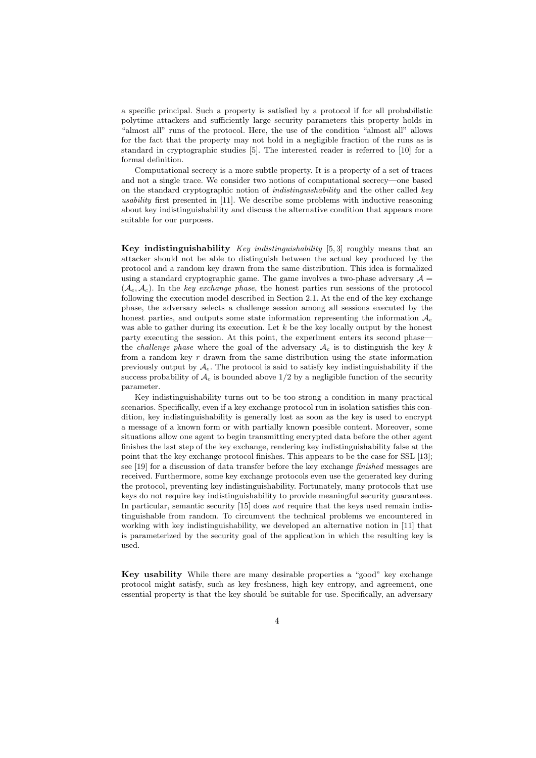a specific principal. Such a property is satisfied by a protocol if for all probabilistic polytime attackers and sufficiently large security parameters this property holds in "almost all" runs of the protocol. Here, the use of the condition "almost all" allows for the fact that the property may not hold in a negligible fraction of the runs as is standard in cryptographic studies [5]. The interested reader is referred to [10] for a formal definition.

Computational secrecy is a more subtle property. It is a property of a set of traces and not a single trace. We consider two notions of computational secrecy—one based on the standard cryptographic notion of *indistinguishability* and the other called key usability first presented in [11]. We describe some problems with inductive reasoning about key indistinguishability and discuss the alternative condition that appears more suitable for our purposes.

**Key indistinguishability** *Key indistinguishability* [5,3] roughly means that an attacker should not be able to distinguish between the actual key produced by the protocol and a random key drawn from the same distribution. This idea is formalized using a standard cryptographic game. The game involves a two-phase adversary  $\mathcal{A} =$  $(\mathcal{A}_{\epsilon}, \mathcal{A}_{c})$ . In the key exchange phase, the honest parties run sessions of the protocol following the execution model described in Section 2.1. At the end of the key exchange phase, the adversary selects a challenge session among all sessions executed by the honest parties, and outputs some state information representing the information  $\mathcal{A}_e$ was able to gather during its execution. Let  $k$  be the key locally output by the honest party executing the session. At this point, the experiment enters its second phase the *challenge phase* where the goal of the adversary  $A_c$  is to distinguish the key k from a random key  $r$  drawn from the same distribution using the state information previously output by  $\mathcal{A}_e$ . The protocol is said to satisfy key indistinguishability if the success probability of  $A_c$  is bounded above  $1/2$  by a negligible function of the security parameter.

Key indistinguishability turns out to be too strong a condition in many practical scenarios. Specifically, even if a key exchange protocol run in isolation satisfies this condition, key indistinguishability is generally lost as soon as the key is used to encrypt a message of a known form or with partially known possible content. Moreover, some situations allow one agent to begin transmitting encrypted data before the other agent finishes the last step of the key exchange, rendering key indistinguishability false at the point that the key exchange protocol finishes. This appears to be the case for SSL [13]; see [19] for a discussion of data transfer before the key exchange finished messages are received. Furthermore, some key exchange protocols even use the generated key during the protocol, preventing key indistinguishability. Fortunately, many protocols that use keys do not require key indistinguishability to provide meaningful security guarantees. In particular, semantic security [15] does not require that the keys used remain indistinguishable from random. To circumvent the technical problems we encountered in working with key indistinguishability, we developed an alternative notion in [11] that is parameterized by the security goal of the application in which the resulting key is used.

Key usability While there are many desirable properties a "good" key exchange protocol might satisfy, such as key freshness, high key entropy, and agreement, one essential property is that the key should be suitable for use. Specifically, an adversary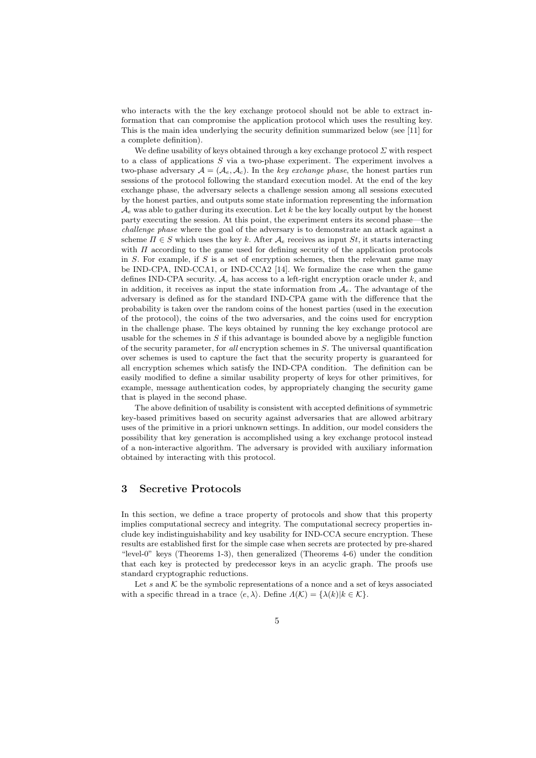who interacts with the the key exchange protocol should not be able to extract information that can compromise the application protocol which uses the resulting key. This is the main idea underlying the security definition summarized below (see [11] for a complete definition).

We define usability of keys obtained through a key exchange protocol  $\Sigma$  with respect to a class of applications S via a two-phase experiment. The experiment involves a two-phase adversary  $A = (A_e, A_c)$ . In the key exchange phase, the honest parties run sessions of the protocol following the standard execution model. At the end of the key exchange phase, the adversary selects a challenge session among all sessions executed by the honest parties, and outputs some state information representing the information  $\mathcal{A}_{e}$  was able to gather during its execution. Let k be the key locally output by the honest party executing the session. At this point, the experiment enters its second phase—the challenge phase where the goal of the adversary is to demonstrate an attack against a scheme  $\Pi \in S$  which uses the key k. After  $\mathcal{A}_e$  receives as input  $St$ , it starts interacting with  $\Pi$  according to the game used for defining security of the application protocols in  $S$ . For example, if  $S$  is a set of encryption schemes, then the relevant game may be IND-CPA, IND-CCA1, or IND-CCA2 [14]. We formalize the case when the game defines IND-CPA security.  $A_c$  has access to a left-right encryption oracle under k, and in addition, it receives as input the state information from  $A_e$ . The advantage of the adversary is defined as for the standard IND-CPA game with the difference that the probability is taken over the random coins of the honest parties (used in the execution of the protocol), the coins of the two adversaries, and the coins used for encryption in the challenge phase. The keys obtained by running the key exchange protocol are usable for the schemes in  $S$  if this advantage is bounded above by a negligible function of the security parameter, for all encryption schemes in S. The universal quantification over schemes is used to capture the fact that the security property is guaranteed for all encryption schemes which satisfy the IND-CPA condition. The definition can be easily modified to define a similar usability property of keys for other primitives, for example, message authentication codes, by appropriately changing the security game that is played in the second phase.

The above definition of usability is consistent with accepted definitions of symmetric key-based primitives based on security against adversaries that are allowed arbitrary uses of the primitive in a priori unknown settings. In addition, our model considers the possibility that key generation is accomplished using a key exchange protocol instead of a non-interactive algorithm. The adversary is provided with auxiliary information obtained by interacting with this protocol.

# 3 Secretive Protocols

In this section, we define a trace property of protocols and show that this property implies computational secrecy and integrity. The computational secrecy properties include key indistinguishability and key usability for IND-CCA secure encryption. These results are established first for the simple case when secrets are protected by pre-shared "level-0" keys (Theorems 1-3), then generalized (Theorems 4-6) under the condition that each key is protected by predecessor keys in an acyclic graph. The proofs use standard cryptographic reductions.

Let  $s$  and  $K$  be the symbolic representations of a nonce and a set of keys associated with a specific thread in a trace  $\langle e, \lambda \rangle$ . Define  $\Lambda(\mathcal{K}) = {\lambda(k)}|k \in \mathcal{K}$ .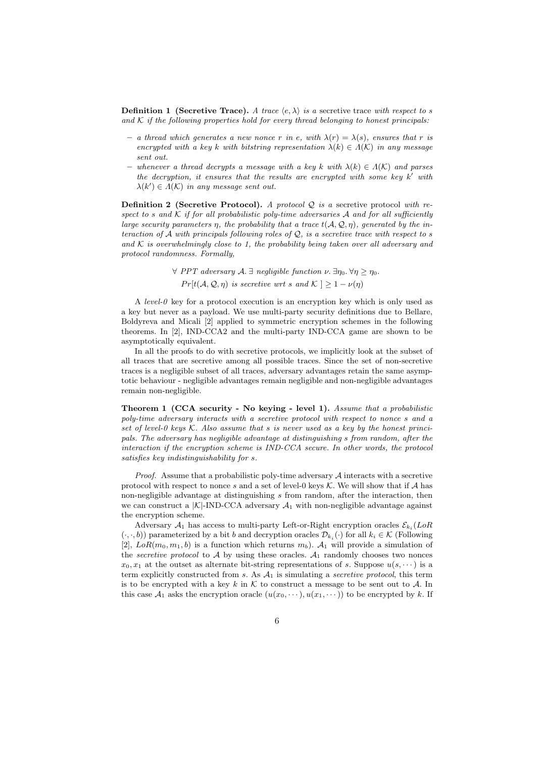**Definition 1** (Secretive Trace). A trace  $\langle e, \lambda \rangle$  is a secretive trace with respect to s and  $K$  if the following properties hold for every thread belonging to honest principals:

- a thread which generates a new nonce r in e, with  $\lambda(r) = \lambda(s)$ , ensures that r is encrypted with a key k with bitstring representation  $\lambda(k) \in \Lambda(\mathcal{K})$  in any message sent out.
- whenever a thread decrypts a message with a key k with  $\lambda(k) \in \Lambda(\mathcal{K})$  and parses the decryption, it ensures that the results are encrypted with some key  $k'$  with  $\lambda(k') \in \Lambda(\mathcal{K})$  in any message sent out.

**Definition 2 (Secretive Protocol).** A protocol Q is a secretive protocol with respect to s and K if for all probabilistic poly-time adversaries A and for all sufficiently large security parameters  $\eta$ , the probability that a trace  $t(\mathcal{A}, \mathcal{Q}, \eta)$ , generated by the interaction of  $\mathcal A$  with principals following roles of  $\mathcal Q$ , is a secretive trace with respect to s and  $K$  is overwhelmingly close to 1, the probability being taken over all adversary and protocol randomness. Formally,

> $\forall$  PPT adversary  $\mathcal{A}.\exists$  negligible function  $\nu.\exists \eta_0.\forall \eta \geq \eta_0.$  $Pr[t(\mathcal{A}, \mathcal{Q}, \eta)$  is secretive wrt s and  $\mathcal{K} \geq 1 - \nu(\eta)$

A level-0 key for a protocol execution is an encryption key which is only used as a key but never as a payload. We use multi-party security definitions due to Bellare, Boldyreva and Micali [2] applied to symmetric encryption schemes in the following theorems. In [2], IND-CCA2 and the multi-party IND-CCA game are shown to be asymptotically equivalent.

In all the proofs to do with secretive protocols, we implicitly look at the subset of all traces that are secretive among all possible traces. Since the set of non-secretive traces is a negligible subset of all traces, adversary advantages retain the same asymptotic behaviour - negligible advantages remain negligible and non-negligible advantages remain non-negligible.

Theorem 1 (CCA security - No keying - level 1). Assume that a probabilistic poly-time adversary interacts with a secretive protocol with respect to nonce s and a set of level-0 keys  $K$ . Also assume that s is never used as a key by the honest principals. The adversary has negligible advantage at distinguishing s from random, after the interaction if the encryption scheme is IND-CCA secure. In other words, the protocol satisfies key indistinguishability for s.

*Proof.* Assume that a probabilistic poly-time adversary  $A$  interacts with a secretive protocol with respect to nonce s and a set of level-0 keys  $K$ . We will show that if A has non-negligible advantage at distinguishing s from random, after the interaction, then we can construct a  $|K|$ -IND-CCA adversary  $A_1$  with non-negligible advantage against the encryption scheme.

Adversary  $A_1$  has access to multi-party Left-or-Right encryption oracles  $\mathcal{E}_{k_i}(LoR)$  $(\cdot, \cdot, b)$ ) parameterized by a bit b and decryption oracles  $\mathcal{D}_{k_i}(\cdot)$  for all  $k_i \in \mathcal{K}$  (Following [2],  $LoR(m_0, m_1, b)$  is a function which returns  $m_b$ ).  $\mathcal{A}_1$  will provide a simulation of the *secretive protocol* to  $A$  by using these oracles.  $A_1$  randomly chooses two nonces  $x_0, x_1$  at the outset as alternate bit-string representations of s. Suppose  $u(s, \dots)$  is a term explicitly constructed from  $s$ . As  $A_1$  is simulating a *secretive protocol*, this term is to be encrypted with a key  $k$  in  $K$  to construct a message to be sent out to  $A$ . In this case  $\mathcal{A}_1$  asks the encryption oracle  $(u(x_0, \dots), u(x_1, \dots))$  to be encrypted by k. If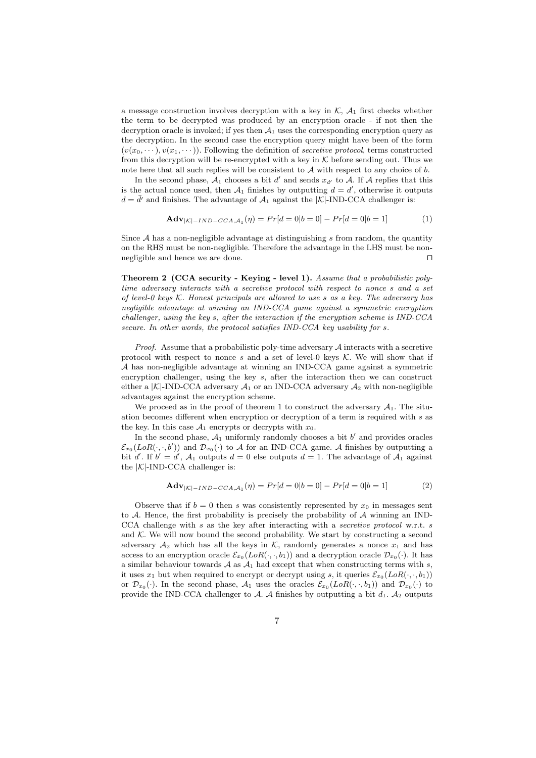a message construction involves decryption with a key in  $K$ ,  $A_1$  first checks whether the term to be decrypted was produced by an encryption oracle - if not then the decryption oracle is invoked; if yes then  $A_1$  uses the corresponding encryption query as the decryption. In the second case the encryption query might have been of the form  $(v(x_0, \dots), v(x_1, \dots))$ . Following the definition of *secretive protocol*, terms constructed from this decryption will be re-encrypted with a key in  $K$  before sending out. Thus we note here that all such replies will be consistent to  $A$  with respect to any choice of  $b$ .

In the second phase,  $A_1$  chooses a bit d' and sends  $x_{d'}$  to A. If A replies that this is the actual nonce used, then  $A_1$  finishes by outputting  $d = d'$ , otherwise it outputs  $d = \bar{d}$  and finishes. The advantage of  $\mathcal{A}_1$  against the  $|\mathcal{K}|$ -IND-CCA challenger is:

$$
\mathbf{Adv}_{|\mathcal{K}|-IND-CCA,\mathcal{A}_1}(\eta) = Pr[d=0|b=0] - Pr[d=0|b=1]
$$
 (1)

Since  $A$  has a non-negligible advantage at distinguishing s from random, the quantity on the RHS must be non-negligible. Therefore the advantage in the LHS must be nonnegligible and hence we are done.  $\Box$ 

Theorem 2 (CCA security - Keying - level 1). Assume that a probabilistic polytime adversary interacts with a secretive protocol with respect to nonce s and a set of level-0 keys  $K$ . Honest principals are allowed to use  $s$  as a key. The adversary has negligible advantage at winning an IND-CCA game against a symmetric encryption challenger, using the key s, after the interaction if the encryption scheme is IND-CCA secure. In other words, the protocol satisfies IND-CCA key usability for s.

*Proof.* Assume that a probabilistic poly-time adversary  $A$  interacts with a secretive protocol with respect to nonce s and a set of level-0 keys  $K$ . We will show that if A has non-negligible advantage at winning an IND-CCA game against a symmetric encryption challenger, using the key s, after the interaction then we can construct either a  $|K|$ -IND-CCA adversary  $A_1$  or an IND-CCA adversary  $A_2$  with non-negligible advantages against the encryption scheme.

We proceed as in the proof of theorem 1 to construct the adversary  $A_1$ . The situation becomes different when encryption or decryption of a term is required with s as the key. In this case  $A_1$  encrypts or decrypts with  $x_0$ .

In the second phase,  $A_1$  uniformly randomly chooses a bit  $b'$  and provides oracles  $\mathcal{E}_{x_0}(LoR(\cdot,\cdot,b'))$  and  $\mathcal{D}_{x_0}(\cdot)$  to A for an IND-CCA game. A finishes by outputting a bit d'. If  $b' = d'$ ,  $\mathcal{A}_1$  outputs  $d = 0$  else outputs  $d = 1$ . The advantage of  $\mathcal{A}_1$  against the  $|K|$ -IND-CCA challenger is:

$$
\mathbf{Adv}_{|\mathcal{K}|-IND-CCA, \mathcal{A}_1}(\eta) = Pr[d=0|b=0] - Pr[d=0|b=1]
$$
 (2)

Observe that if  $b = 0$  then s was consistently represented by  $x_0$  in messages sent to  $A$ . Hence, the first probability is precisely the probability of  $A$  winning an IND-CCA challenge with s as the key after interacting with a secretive protocol w.r.t. s and  $K$ . We will now bound the second probability. We start by constructing a second adversary  $A_2$  which has all the keys in K, randomly generates a nonce  $x_1$  and has access to an encryption oracle  $\mathcal{E}_{x_0}(LoR(\cdot,\cdot,b_1))$  and a decryption oracle  $\mathcal{D}_{x_0}(\cdot)$ . It has a similar behaviour towards  $A$  as  $A_1$  had except that when constructing terms with s, it uses  $x_1$  but when required to encrypt or decrypt using s, it queries  $\mathcal{E}_{x_0}(LoR(\cdot,\cdot,b_1))$ or  $\mathcal{D}_{x_0}(\cdot)$ . In the second phase,  $\mathcal{A}_1$  uses the oracles  $\mathcal{E}_{x_0}(LoR(\cdot,\cdot,b_1))$  and  $\mathcal{D}_{x_0}(\cdot)$  to provide the IND-CCA challenger to A. A finishes by outputting a bit  $d_1$ . A<sub>2</sub> outputs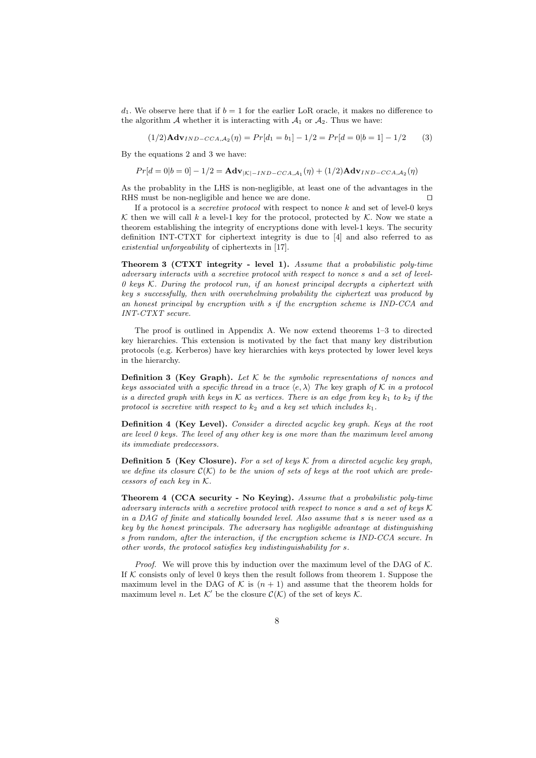$d_1$ . We observe here that if  $b = 1$  for the earlier LoR oracle, it makes no difference to the algorithm  $A$  whether it is interacting with  $A_1$  or  $A_2$ . Thus we have:

 $(1/2)$ **Adv**<sub>IND−CCA, $A_2(\eta) = Pr[d_1 = b_1] - 1/2 = Pr[d = 0|b = 1] - 1/2$  (3)</sub>

By the equations 2 and 3 we have:

 $Pr[d = 0|b = 0] - 1/2 = \mathbf{Adv}_{|\mathcal{K}| - IND - CCA, \mathcal{A}_1}(\eta) + (1/2)\mathbf{Adv}_{IND - CCA, \mathcal{A}_2}(\eta)$ 

As the probablity in the LHS is non-negligible, at least one of the advantages in the RHS must be non-negligible and hence we are done.  $\Box$ 

If a protocol is a *secretive protocol* with respect to nonce  $k$  and set of level-0 keys K then we will call k a level-1 key for the protocol, protected by  $K$ . Now we state a theorem establishing the integrity of encryptions done with level-1 keys. The security definition INT-CTXT for ciphertext integrity is due to [4] and also referred to as existential unforgeability of ciphertexts in [17].

Theorem 3 (CTXT integrity - level 1). Assume that a probabilistic poly-time adversary interacts with a secretive protocol with respect to nonce s and a set of level- $0$  keys K. During the protocol run, if an honest principal decrypts a ciphertext with key s successfully, then with overwhelming probability the ciphertext was produced by an honest principal by encryption with s if the encryption scheme is IND-CCA and INT-CTXT secure.

The proof is outlined in Appendix A. We now extend theorems 1–3 to directed key hierarchies. This extension is motivated by the fact that many key distribution protocols (e.g. Kerberos) have key hierarchies with keys protected by lower level keys in the hierarchy.

**Definition 3 (Key Graph).** Let  $K$  be the symbolic representations of nonces and keys associated with a specific thread in a trace  $\langle e, \lambda \rangle$  The key graph of K in a protocol is a directed graph with keys in K as vertices. There is an edge from key  $k_1$  to  $k_2$  if the protocol is secretive with respect to  $k_2$  and a key set which includes  $k_1$ .

Definition 4 (Key Level). Consider a directed acyclic key graph. Keys at the root are level  $\theta$  keys. The level of any other key is one more than the maximum level among its immediate predecessors.

**Definition 5 (Key Closure).** For a set of keys  $\mathcal K$  from a directed acyclic key graph, we define its closure  $\mathcal{C}(\mathcal{K})$  to be the union of sets of keys at the root which are predecessors of each key in K.

Theorem 4 (CCA security - No Keying). Assume that a probabilistic poly-time adversary interacts with a secretive protocol with respect to nonce s and a set of keys  $\mathcal K$ in a DAG of finite and statically bounded level. Also assume that s is never used as a key by the honest principals. The adversary has negligible advantage at distinguishing s from random, after the interaction, if the encryption scheme is IND-CCA secure. In other words, the protocol satisfies key indistinguishability for s.

*Proof.* We will prove this by induction over the maximum level of the DAG of  $K$ . If  $K$  consists only of level 0 keys then the result follows from theorem 1. Suppose the maximum level in the DAG of K is  $(n + 1)$  and assume that the theorem holds for maximum level *n*. Let  $K'$  be the closure  $C(K)$  of the set of keys K.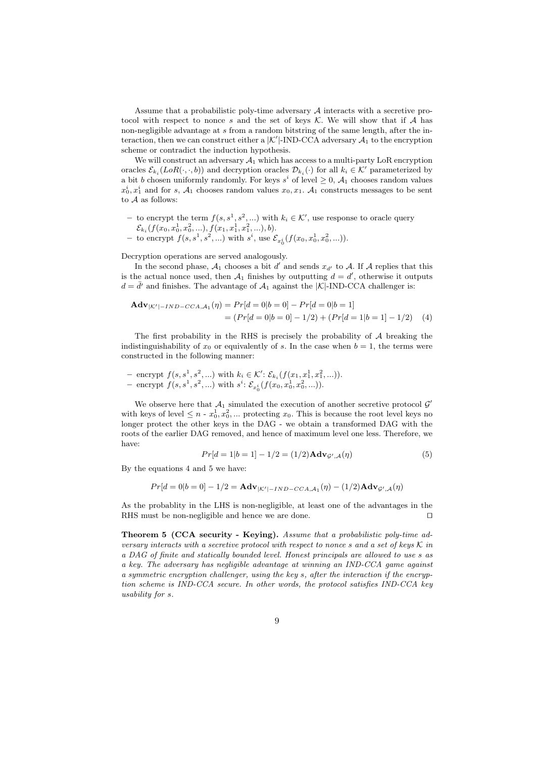Assume that a probabilistic poly-time adversary  $A$  interacts with a secretive protocol with respect to nonce s and the set of keys  $K$ . We will show that if A has non-negligible advantage at s from a random bitstring of the same length, after the interaction, then we can construct either a  $|\mathcal{K}'|$ -IND-CCA adversary  $\mathcal{A}_1$  to the encryption scheme or contradict the induction hypothesis.

We will construct an adversary  $A_1$  which has access to a multi-party LoR encryption oracles  $\mathcal{E}_{k_i}(LoR(\cdot,\cdot,b))$  and decryption oracles  $\mathcal{D}_{k_i}(\cdot)$  for all  $k_i \in \mathcal{K}'$  parameterized by a bit b chosen uniformly randomly. For keys  $s^i$  of level  $\geq 0$ ,  $\mathcal{A}_1$  chooses random values  $x_0^i, x_1^i$  and for s,  $\mathcal{A}_1$  chooses random values  $x_0, x_1$ .  $\mathcal{A}_1$  constructs messages to be sent to  $A$  as follows:

- − to encrypt the term  $f(s, s^1, s^2, ...)$  with  $k_i \in \mathcal{K}'$ , use response to oracle query  $\mathcal{E}_{k_{i}}(f(x_{0},x_{0}^{1},x_{0}^{2},...),f(x_{1},x_{1}^{1},x_{1}^{2},...),b).$
- to encrypt  $f(s, s^1, s^2, ...)$  with  $s^i$ , use  $\mathcal{E}_{x_0^i}(f(x_0, x_0^1, x_0^2, ...)$ .

Decryption operations are served analogously.

In the second phase,  $A_1$  chooses a bit d' and sends  $x_{d'}$  to A. If A replies that this is the actual nonce used, then  $A_1$  finishes by outputting  $d = d'$ , otherwise it outputs  $d = \bar{d}'$  and finishes. The advantage of  $\mathcal{A}_1$  against the  $|\mathcal{K}|$ -IND-CCA challenger is:

$$
\mathbf{Adv}_{|\mathcal{K}'|-IND-CCA,A_1}(\eta) = Pr[d=0|b=0] - Pr[d=0|b=1] = (Pr[d=0|b=0] - 1/2) + (Pr[d=1|b=1] - 1/2)
$$
 (4)

The first probability in the RHS is precisely the probability of  $A$  breaking the indistinguishability of  $x_0$  or equivalently of s. In the case when  $b = 1$ , the terms were constructed in the following manner:

- encrypt 
$$
f(s, s^1, s^2, ...)
$$
 with  $k_i \in \mathcal{K}'$ :  $\mathcal{E}_{k_i}(f(x_1, x_1^1, x_1^2, ...))$ .  
- encrypt  $f(s, s^1, s^2, ...)$  with  $s^i$ :  $\mathcal{E}_{x_0^i}(f(x_0, x_0^1, x_0^2, ...))$ .

We observe here that  $A_1$  simulated the execution of another secretive protocol  $\mathcal{G}'$ with keys of level  $\leq n - x_0^1, x_0^2, \dots$  protecting  $x_0$ . This is because the root level keys no longer protect the other keys in the DAG - we obtain a transformed DAG with the roots of the earlier DAG removed, and hence of maximum level one less. Therefore, we have:

$$
Pr[d = 1|b = 1] - 1/2 = (1/2)\mathbf{Adv}_{\mathcal{G}',\mathcal{A}}(\eta)
$$
\n(5)

By the equations 4 and 5 we have:

$$
Pr[d=0|b=0]-1/2 = \mathbf{Adv}_{|\mathcal{K}'|-IND-CCA,\mathcal{A}_1}(\eta) - (1/2)\mathbf{Adv}_{\mathcal{G}',\mathcal{A}}(\eta)
$$

As the probablity in the LHS is non-negligible, at least one of the advantages in the RHS must be non-negligible and hence we are done.

Theorem 5 (CCA security - Keying). Assume that a probabilistic poly-time adversary interacts with a secretive protocol with respect to nonce s and a set of keys  $K$  in a DAG of finite and statically bounded level. Honest principals are allowed to use s as a key. The adversary has negligible advantage at winning an IND-CCA game against a symmetric encryption challenger, using the key s, after the interaction if the encryption scheme is IND-CCA secure. In other words, the protocol satisfies IND-CCA key usability for s.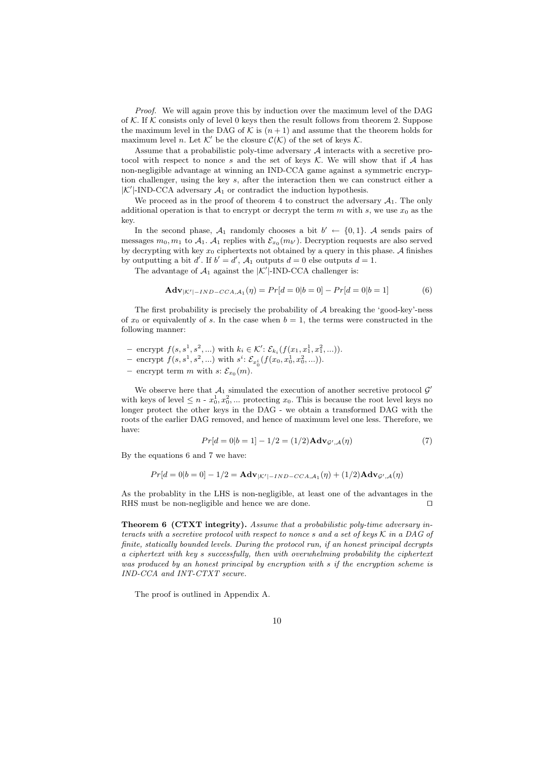Proof. We will again prove this by induction over the maximum level of the DAG of K. If K consists only of level 0 keys then the result follows from theorem 2. Suppose the maximum level in the DAG of K is  $(n+1)$  and assume that the theorem holds for maximum level *n*. Let  $K'$  be the closure  $C(K)$  of the set of keys  $K$ .

Assume that a probabilistic poly-time adversary  $A$  interacts with a secretive protocol with respect to nonce s and the set of keys  $K$ . We will show that if A has non-negligible advantage at winning an IND-CCA game against a symmetric encryption challenger, using the key s, after the interaction then we can construct either a  $|K'|$ -IND-CCA adversary  $\mathcal{A}_1$  or contradict the induction hypothesis.

We proceed as in the proof of theorem 4 to construct the adversary  $A_1$ . The only additional operation is that to encrypt or decrypt the term  $m$  with  $s$ , we use  $x_0$  as the key.

In the second phase,  $A_1$  randomly chooses a bit  $b' \leftarrow \{0, 1\}$ . A sends pairs of messages  $m_0, m_1$  to  $\mathcal{A}_1$ .  $\mathcal{A}_1$  replies with  $\mathcal{E}_{x_0}(m_{b'})$ . Decryption requests are also served by decrypting with key  $x_0$  ciphertexts not obtained by a query in this phase. A finishes by outputting a bit d'. If  $b' = d'$ ,  $\mathcal{A}_1$  outputs  $d = 0$  else outputs  $d = 1$ .

The advantage of  $A_1$  against the  $|K'|$ -IND-CCA challenger is:

$$
\mathbf{Adv}_{|\mathcal{K}'|-IND-CCA,\mathcal{A}_1}(\eta) = Pr[d=0|b=0] - Pr[d=0|b=1]
$$
 (6)

The first probability is precisely the probability of  $A$  breaking the 'good-key'-ness of  $x_0$  or equivalently of s. In the case when  $b = 1$ , the terms were constructed in the following manner:

- encrypt  $f(s, s^1, s^2, ...)$  with  $k_i \in \mathcal{K}'$ :  $\mathcal{E}_{k_i}(f(x_1, x_1^1, x_1^2, ...)$ .
- encrypt  $f(s, s^1, s^2, ...)$  with  $s^i: \mathcal{E}_{x_0^i}(f(x_0, x_0^1, x_0^2, ...)).$
- encrypt term m with  $s: \mathcal{E}_{x_0}(m)$ .

We observe here that  $A_1$  simulated the execution of another secretive protocol  $\mathcal{G}'$ with keys of level  $\leq n - x_0^1, x_0^2, \dots$  protecting  $x_0$ . This is because the root level keys no longer protect the other keys in the DAG - we obtain a transformed DAG with the roots of the earlier DAG removed, and hence of maximum level one less. Therefore, we have:

$$
Pr[d = 0|b = 1] - 1/2 = (1/2)\mathbf{Adv}_{\mathcal{G}',\mathcal{A}}(\eta)
$$
\n(7)

By the equations 6 and 7 we have:

$$
Pr[d=0|b=0]-1/2 = \mathbf{Adv}_{|\mathcal{K}'|-IND-CCA,\mathcal{A}_1}(\eta) + (1/2)\mathbf{Adv}_{\mathcal{G}',\mathcal{A}}(\eta)
$$

As the probablity in the LHS is non-negligible, at least one of the advantages in the RHS must be non-negligible and hence we are done.  $\hfill\Box$ 

Theorem 6 (CTXT integrity). Assume that a probabilistic poly-time adversary interacts with a secretive protocol with respect to nonce s and a set of keys K in a DAG of finite, statically bounded levels. During the protocol run, if an honest principal decrypts a ciphertext with key s successfully, then with overwhelming probability the ciphertext was produced by an honest principal by encryption with s if the encryption scheme is IND-CCA and INT-CTXT secure.

The proof is outlined in Appendix A.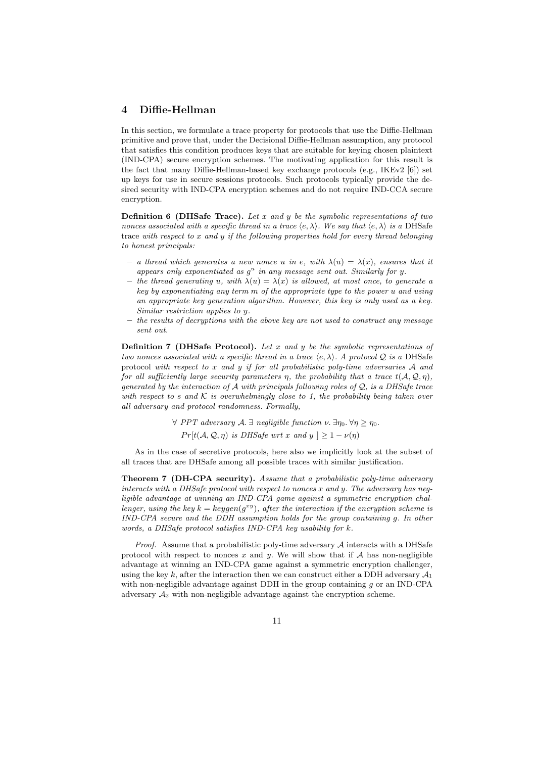# 4 Diffie-Hellman

In this section, we formulate a trace property for protocols that use the Diffie-Hellman primitive and prove that, under the Decisional Diffie-Hellman assumption, any protocol that satisfies this condition produces keys that are suitable for keying chosen plaintext (IND-CPA) secure encryption schemes. The motivating application for this result is the fact that many Diffie-Hellman-based key exchange protocols (e.g., IKEv2 [6]) set up keys for use in secure sessions protocols. Such protocols typically provide the desired security with IND-CPA encryption schemes and do not require IND-CCA secure encryption.

**Definition 6 (DHSafe Trace).** Let x and y be the symbolic representations of two nonces associated with a specific thread in a trace  $\langle e, \lambda \rangle$ . We say that  $\langle e, \lambda \rangle$  is a DHSafe trace with respect to x and y if the following properties hold for every thread belonging to honest principals:

- a thread which generates a new nonce u in e, with  $\lambda(u) = \lambda(x)$ , ensures that it appears only exponentiated as  $g^u$  in any message sent out. Similarly for y.
- the thread generating u, with  $\lambda(u) = \lambda(x)$  is allowed, at most once, to generate a key by exponentiating any term m of the appropriate type to the power u and using an appropriate key generation algorithm. However, this key is only used as a key. Similar restriction applies to y.
- the results of decryptions with the above key are not used to construct any message sent out.

**Definition 7 (DHSafe Protocol).** Let x and y be the symbolic representations of two nonces associated with a specific thread in a trace  $\langle e, \lambda \rangle$ . A protocol Q is a DHSafe protocol with respect to x and y if for all probabilistic poly-time adversaries  $A$  and for all sufficiently large security parameters  $\eta$ , the probability that a trace  $t(\mathcal{A}, \mathcal{Q}, \eta)$ , generated by the interaction of A with principals following roles of  $Q$ , is a DHSafe trace with respect to s and K is overwhelmingly close to 1, the probability being taken over all adversary and protocol randomness. Formally,

> $\forall$  PPT adversary A.  $\exists$  negligible function  $\nu$ .  $\exists \eta_0$ .  $\forall \eta > \eta_0$ .  $Pr[t(\mathcal{A}, \mathcal{Q}, \eta)$  is DHSafe wrt x and  $y \geq 1 - \nu(\eta)$

As in the case of secretive protocols, here also we implicitly look at the subset of all traces that are DHSafe among all possible traces with similar justification.

Theorem 7 (DH-CPA security). Assume that a probabilistic poly-time adversary interacts with a DHSafe protocol with respect to nonces x and y. The adversary has negligible advantage at winning an IND-CPA game against a symmetric encryption challenger, using the key  $k = keygen(g^{xy})$ , after the interaction if the encryption scheme is IND-CPA secure and the DDH assumption holds for the group containing g. In other words, a DHSafe protocol satisfies IND-CPA key usability for k.

*Proof.* Assume that a probabilistic poly-time adversary  $A$  interacts with a DHSafe protocol with respect to nonces x and y. We will show that if  $A$  has non-negligible advantage at winning an IND-CPA game against a symmetric encryption challenger, using the key k, after the interaction then we can construct either a DDH adversary  $A_1$ with non-negligible advantage against DDH in the group containing  $g$  or an IND-CPA adversary  $A_2$  with non-negligible advantage against the encryption scheme.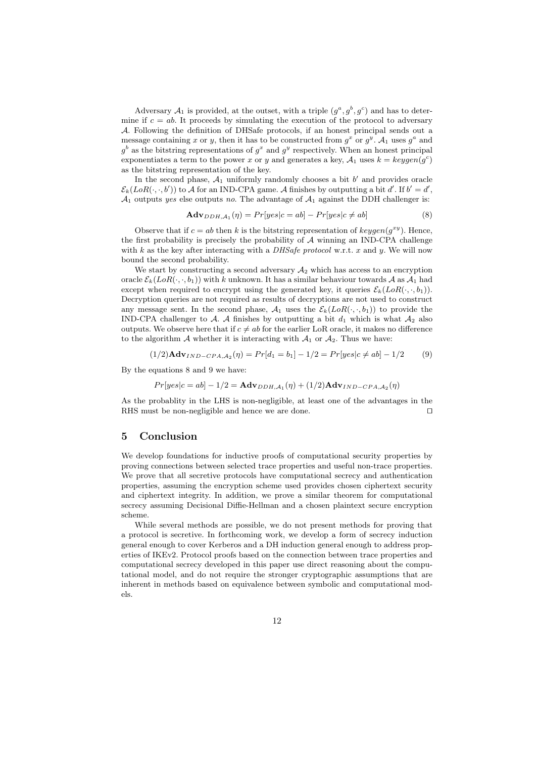Adversary  $\mathcal{A}_1$  is provided, at the outset, with a triple  $(g^a, g^b, g^c)$  and has to determine if  $c = ab$ . It proceeds by simulating the execution of the protocol to adversary A. Following the definition of DHSafe protocols, if an honest principal sends out a message containing x or y, then it has to be constructed from  $g^x$  or  $g^y$ .  $\mathcal{A}_1$  uses  $g^a$  and  $g^b$  as the bitstring representations of  $g^x$  and  $g^y$  respectively. When an honest principal exponentiates a term to the power x or y and generates a key,  $A_1$  uses  $k = \text{keygen}(g^c)$ as the bitstring representation of the key.

In the second phase,  $A_1$  uniformly randomly chooses a bit  $b'$  and provides oracle  $\mathcal{E}_k(LoR(\cdot,\cdot,b'))$  to A for an IND-CPA game. A finishes by outputting a bit d'. If  $b' = d'$ ,  $\mathcal{A}_1$  outputs yes else outputs no. The advantage of  $\mathcal{A}_1$  against the DDH challenger is:

$$
\mathbf{Adv}_{DDH, \mathcal{A}_1}(\eta) = Pr[yes|c = ab] - Pr[yes|c \neq ab]
$$
\n
$$
(8)
$$

Observe that if  $c = ab$  then k is the bitstring representation of  $keygen(g^{xy})$ . Hence, the first probability is precisely the probability of  $A$  winning an IND-CPA challenge with k as the key after interacting with a DHSafe protocol w.r.t. x and y. We will now bound the second probability.

We start by constructing a second adversary  $A_2$  which has access to an encryption oracle  $\mathcal{E}_k(LoR(\cdot,\cdot,b_1))$  with k unknown. It has a similar behaviour towards A as  $\mathcal{A}_1$  had except when required to encrypt using the generated key, it queries  $\mathcal{E}_k(LoR(\cdot,\cdot,b_1)).$ Decryption queries are not required as results of decryptions are not used to construct any message sent. In the second phase,  $A_1$  uses the  $\mathcal{E}_k(LoR(\cdot,\cdot,b_1))$  to provide the IND-CPA challenger to A. A finishes by outputting a bit  $d_1$  which is what  $A_2$  also outputs. We observe here that if  $c \neq ab$  for the earlier LoR oracle, it makes no difference to the algorithm A whether it is interacting with  $A_1$  or  $A_2$ . Thus we have:

$$
(1/2)\mathbf{A} \mathbf{d} \mathbf{v}_{IND-CPA,A_2}(\eta) = Pr[d_1 = b_1] - 1/2 = Pr[yes|c \neq ab] - 1/2 \tag{9}
$$

By the equations 8 and 9 we have:

$$
Pr[yes|c=ab] - 1/2 = \mathbf{Adv}_{DDH, \mathcal{A}_1}(\eta) + (1/2)\mathbf{Adv}_{IND-CPA, \mathcal{A}_2}(\eta)
$$

As the probablity in the LHS is non-negligible, at least one of the advantages in the RHS must be non-negligible and hence we are done.  $\Box$ 

### 5 Conclusion

We develop foundations for inductive proofs of computational security properties by proving connections between selected trace properties and useful non-trace properties. We prove that all secretive protocols have computational secrecy and authentication properties, assuming the encryption scheme used provides chosen ciphertext security and ciphertext integrity. In addition, we prove a similar theorem for computational secrecy assuming Decisional Diffie-Hellman and a chosen plaintext secure encryption scheme.

While several methods are possible, we do not present methods for proving that a protocol is secretive. In forthcoming work, we develop a form of secrecy induction general enough to cover Kerberos and a DH induction general enough to address properties of IKEv2. Protocol proofs based on the connection between trace properties and computational secrecy developed in this paper use direct reasoning about the computational model, and do not require the stronger cryptographic assumptions that are inherent in methods based on equivalence between symbolic and computational models.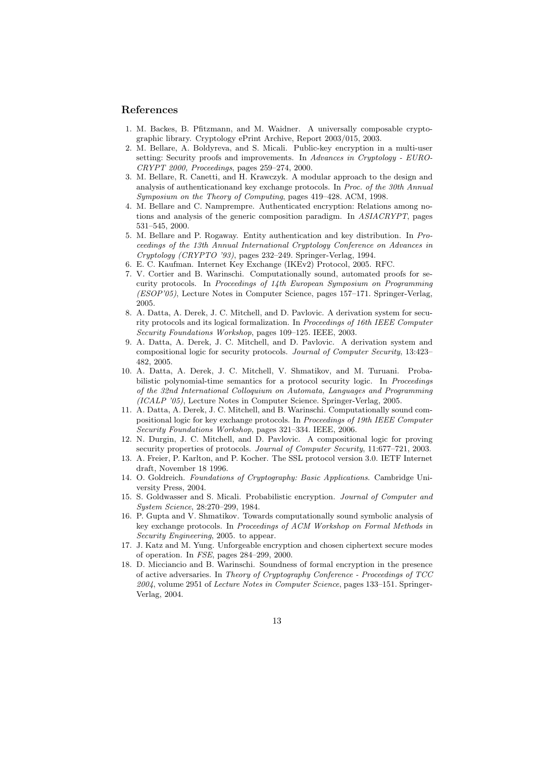## References

- 1. M. Backes, B. Pfitzmann, and M. Waidner. A universally composable cryptographic library. Cryptology ePrint Archive, Report 2003/015, 2003.
- 2. M. Bellare, A. Boldyreva, and S. Micali. Public-key encryption in a multi-user setting: Security proofs and improvements. In Advances in Cryptology - EURO-CRYPT 2000, Proceedings, pages 259–274, 2000.
- 3. M. Bellare, R. Canetti, and H. Krawczyk. A modular approach to the design and analysis of authenticationand key exchange protocols. In Proc. of the 30th Annual Symposium on the Theory of Computing, pages 419–428. ACM, 1998.
- 4. M. Bellare and C. Namprempre. Authenticated encryption: Relations among notions and analysis of the generic composition paradigm. In ASIACRYPT, pages 531–545, 2000.
- 5. M. Bellare and P. Rogaway. Entity authentication and key distribution. In Proceedings of the 13th Annual International Cryptology Conference on Advances in Cryptology (CRYPTO '93), pages 232–249. Springer-Verlag, 1994.
- 6. E. C. Kaufman. Internet Key Exchange (IKEv2) Protocol, 2005. RFC.
- 7. V. Cortier and B. Warinschi. Computationally sound, automated proofs for security protocols. In Proceedings of 14th European Symposium on Programming (ESOP'05), Lecture Notes in Computer Science, pages 157–171. Springer-Verlag, 2005.
- 8. A. Datta, A. Derek, J. C. Mitchell, and D. Pavlovic. A derivation system for security protocols and its logical formalization. In Proceedings of 16th IEEE Computer Security Foundations Workshop, pages 109–125. IEEE, 2003.
- 9. A. Datta, A. Derek, J. C. Mitchell, and D. Pavlovic. A derivation system and compositional logic for security protocols. Journal of Computer Security, 13:423– 482, 2005.
- 10. A. Datta, A. Derek, J. C. Mitchell, V. Shmatikov, and M. Turuani. Probabilistic polynomial-time semantics for a protocol security logic. In Proceedings of the 32nd International Colloquium on Automata, Languages and Programming (ICALP '05), Lecture Notes in Computer Science. Springer-Verlag, 2005.
- 11. A. Datta, A. Derek, J. C. Mitchell, and B. Warinschi. Computationally sound compositional logic for key exchange protocols. In Proceedings of 19th IEEE Computer Security Foundations Workshop, pages 321–334. IEEE, 2006.
- 12. N. Durgin, J. C. Mitchell, and D. Pavlovic. A compositional logic for proving security properties of protocols. Journal of Computer Security, 11:677-721, 2003.
- 13. A. Freier, P. Karlton, and P. Kocher. The SSL protocol version 3.0. IETF Internet draft, November 18 1996.
- 14. O. Goldreich. Foundations of Cryptography: Basic Applications. Cambridge University Press, 2004.
- 15. S. Goldwasser and S. Micali. Probabilistic encryption. Journal of Computer and System Science, 28:270–299, 1984.
- 16. P. Gupta and V. Shmatikov. Towards computationally sound symbolic analysis of key exchange protocols. In Proceedings of ACM Workshop on Formal Methods in Security Engineering, 2005. to appear.
- 17. J. Katz and M. Yung. Unforgeable encryption and chosen ciphertext secure modes of operation. In FSE, pages 284–299, 2000.
- 18. D. Micciancio and B. Warinschi. Soundness of formal encryption in the presence of active adversaries. In Theory of Cryptography Conference - Proceedings of TCC 2004, volume 2951 of Lecture Notes in Computer Science, pages 133–151. Springer-Verlag, 2004.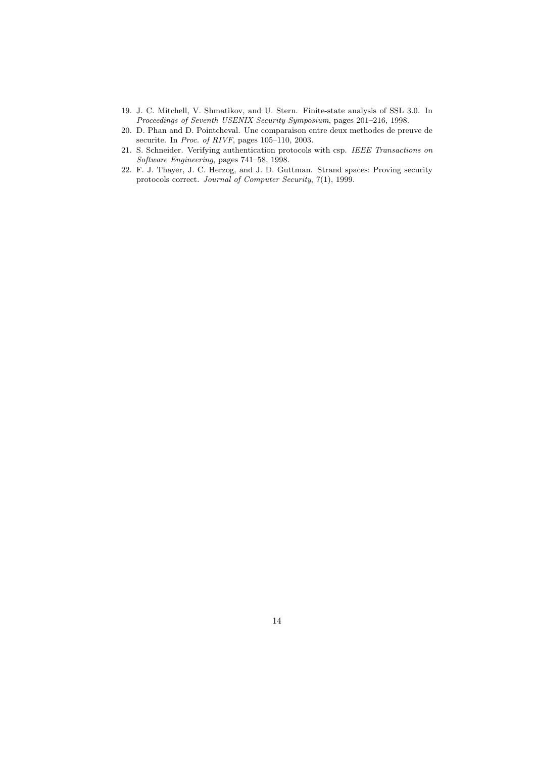- 19. J. C. Mitchell, V. Shmatikov, and U. Stern. Finite-state analysis of SSL 3.0. In Proceedings of Seventh USENIX Security Symposium, pages 201–216, 1998.
- 20. D. Phan and D. Pointcheval. Une comparaison entre deux methodes de preuve de securite. In Proc. of RIVF, pages 105-110, 2003.
- 21. S. Schneider. Verifying authentication protocols with csp. IEEE Transactions on Software Engineering, pages 741–58, 1998.
- 22. F. J. Thayer, J. C. Herzog, and J. D. Guttman. Strand spaces: Proving security protocols correct. Journal of Computer Security, 7(1), 1999.